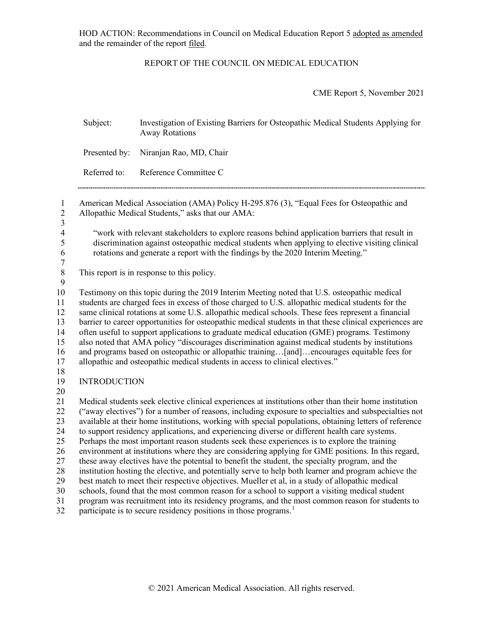HOD ACTION: Recommendations in Council on Medical Education Report 5 adopted as amended and the remainder of the report filed.

## REPORT OF THE COUNCIL ON MEDICAL EDUCATION

CME Report 5, November 2021

|                                                                      | Subject:            | Investigation of Existing Barriers for Osteopathic Medical Students Applying for<br><b>Away Rotations</b>                                                                                                                                                                                                                                                                                                                                                                                                                                                                                                                                                                                                                                                                                                                                                                                                                                                                                                                                                                                                                                       |
|----------------------------------------------------------------------|---------------------|-------------------------------------------------------------------------------------------------------------------------------------------------------------------------------------------------------------------------------------------------------------------------------------------------------------------------------------------------------------------------------------------------------------------------------------------------------------------------------------------------------------------------------------------------------------------------------------------------------------------------------------------------------------------------------------------------------------------------------------------------------------------------------------------------------------------------------------------------------------------------------------------------------------------------------------------------------------------------------------------------------------------------------------------------------------------------------------------------------------------------------------------------|
|                                                                      | Presented by:       | Niranjan Rao, MD, Chair                                                                                                                                                                                                                                                                                                                                                                                                                                                                                                                                                                                                                                                                                                                                                                                                                                                                                                                                                                                                                                                                                                                         |
|                                                                      | Referred to:        | Reference Committee C                                                                                                                                                                                                                                                                                                                                                                                                                                                                                                                                                                                                                                                                                                                                                                                                                                                                                                                                                                                                                                                                                                                           |
| $\mathbf{1}$<br>$\overline{c}$<br>$\overline{\mathbf{3}}$            |                     | American Medical Association (AMA) Policy H-295.876 (3), "Equal Fees for Osteopathic and<br>Allopathic Medical Students," asks that our AMA:                                                                                                                                                                                                                                                                                                                                                                                                                                                                                                                                                                                                                                                                                                                                                                                                                                                                                                                                                                                                    |
| $\overline{\mathcal{L}}$<br>5<br>$\sqrt{6}$<br>$\boldsymbol{7}$      |                     | "work with relevant stakeholders to explore reasons behind application barriers that result in<br>discrimination against osteopathic medical students when applying to elective visiting clinical<br>rotations and generate a report with the findings by the 2020 Interim Meeting."                                                                                                                                                                                                                                                                                                                                                                                                                                                                                                                                                                                                                                                                                                                                                                                                                                                            |
| $\,8\,$<br>9                                                         |                     | This report is in response to this policy.                                                                                                                                                                                                                                                                                                                                                                                                                                                                                                                                                                                                                                                                                                                                                                                                                                                                                                                                                                                                                                                                                                      |
| 10<br>11<br>12<br>13<br>14<br>15<br>16<br>17<br>18                   |                     | Testimony on this topic during the 2019 Interim Meeting noted that U.S. osteopathic medical<br>students are charged fees in excess of those charged to U.S. allopathic medical students for the<br>same clinical rotations at some U.S. allopathic medical schools. These fees represent a financial<br>barrier to career opportunities for osteopathic medical students in that these clinical experiences are<br>often useful to support applications to graduate medical education (GME) programs. Testimony<br>also noted that AMA policy "discourages discrimination against medical students by institutions<br>and programs based on osteopathic or allopathic training[and]encourages equitable fees for<br>allopathic and osteopathic medical students in access to clinical electives."                                                                                                                                                                                                                                                                                                                                               |
| 19                                                                   | <b>INTRODUCTION</b> |                                                                                                                                                                                                                                                                                                                                                                                                                                                                                                                                                                                                                                                                                                                                                                                                                                                                                                                                                                                                                                                                                                                                                 |
| 20<br>21<br>22<br>23<br>24<br>25<br>26<br>27<br>28<br>29<br>30<br>31 |                     | Medical students seek elective clinical experiences at institutions other than their home institution<br>("away electives") for a number of reasons, including exposure to specialties and subspecialties not<br>available at their home institutions, working with special populations, obtaining letters of reference<br>to support residency applications, and experiencing diverse or different health care systems.<br>Perhaps the most important reason students seek these experiences is to explore the training<br>environment at institutions where they are considering applying for GME positions. In this regard,<br>these away electives have the potential to benefit the student, the specialty program, and the<br>institution hosting the elective, and potentially serve to help both learner and program achieve the<br>best match to meet their respective objectives. Mueller et al, in a study of allopathic medical<br>schools, found that the most common reason for a school to support a visiting medical student<br>program was recruitment into its residency programs, and the most common reason for students to |
| 32                                                                   |                     | participate is to secure residency positions in those programs. <sup>1</sup>                                                                                                                                                                                                                                                                                                                                                                                                                                                                                                                                                                                                                                                                                                                                                                                                                                                                                                                                                                                                                                                                    |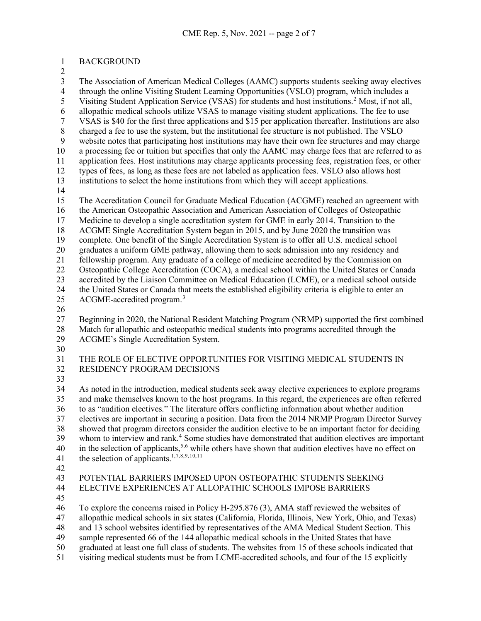BACKGROUND

3 The Association of American Medical Colleges (AAMC) supports students seeking away electives<br>4 through the online Visiting Student Learning Opportunities (VSLO) program, which includes a 4 through the online Visiting Student Learning Opportunities (VSLO) program, which includes a<br>5 Visiting Student Application Service (VSAS) for students and host institutions.<sup>2</sup> Most, if not all. Visiting Student Application Service (VSAS) for students and host institutions.<sup>[2](#page-6-1)</sup> Most, if not all, allopathic medical schools utilize VSAS to manage visiting student applications. The fee to use VSAS is \$40 for the first three applications and \$15 per application thereafter. Institutions are also 8 charged a fee to use the system, but the institutional fee structure is not published. The VSLO<br>9 website notes that participating host institutions may have their own fee structures and may ch website notes that participating host institutions may have their own fee structures and may charge a processing fee or tuition but specifies that only the AAMC may charge fees that are referred to as application fees. Host institutions may charge applicants processing fees, registration fees, or other types of fees, as long as these fees are not labeled as application fees. VSLO also allows host institutions to select the home institutions from which they will accept applications. The Accreditation Council for Graduate Medical Education (ACGME) reached an agreement with the American Osteopathic Association and American Association of Colleges of Osteopathic Medicine to develop a single accreditation system for GME in early 2014. Transition to the ACGME Single Accreditation System began in 2015, and by June 2020 the transition was complete. One benefit of the Single Accreditation System is to offer all U.S. medical school graduates a uniform GME pathway, allowing them to seek admission into any residency and fellowship program. Any graduate of a college of medicine accredited by the Commission on Osteopathic College Accreditation (COCA), a medical school within the United States or Canada accredited by the Liaison Committee on Medical Education (LCME), or a medical school outside the United States or Canada that meets the established eligibility criteria is eligible to enter an  $\alpha$  ACGME-accredited program.<sup>[3](#page-6-2)</sup> Beginning in 2020, the National Resident Matching Program (NRMP) supported the first combined Match for allopathic and osteopathic medical students into programs accredited through the ACGME's Single Accreditation System. THE ROLE OF ELECTIVE OPPORTUNITIES FOR VISITING MEDICAL STUDENTS IN RESIDENCY PROGRAM DECISIONS As noted in the introduction, medical students seek away elective experiences to explore programs and make themselves known to the host programs. In this regard, the experiences are often referred to as "audition electives." The literature offers conflicting information about whether audition electives are important in securing a position. Data from the 2014 NRMP Program Director Survey 38 showed that program directors consider the audition elective to be an important factor for deciding<br>39 whom to interview and rank.<sup>4</sup> Some studies have demonstrated that audition electives are important whom to interview and rank.<sup>[4](#page-6-3)</sup> Some studies have demonstrated that audition electives are important in the selection of applicants,<sup>[5](#page-6-4),[6](#page-6-5)</sup> while others have shown that audition electives have no effect on 41 the selection of applicants.<sup>1,[7](#page-6-6),[8](#page-6-7)[,9](#page-6-8),[10,](#page-6-9)[11](#page-6-10)</sup> POTENTIAL BARRIERS IMPOSED UPON OSTEOPATHIC STUDENTS SEEKING ELECTIVE EXPERIENCES AT ALLOPATHIC SCHOOLS IMPOSE BARRIERS To explore the concerns raised in Policy H-295.876 (3), AMA staff reviewed the websites of allopathic medical schools in six states (California, Florida, Illinois, New York, Ohio, and Texas) and 13 school websites identified by representatives of the AMA Medical Student Section. This sample represented 66 of the 144 allopathic medical schools in the United States that have

- graduated at least one full class of students. The websites from 15 of these schools indicated that
- visiting medical students must be from LCME-accredited schools, and four of the 15 explicitly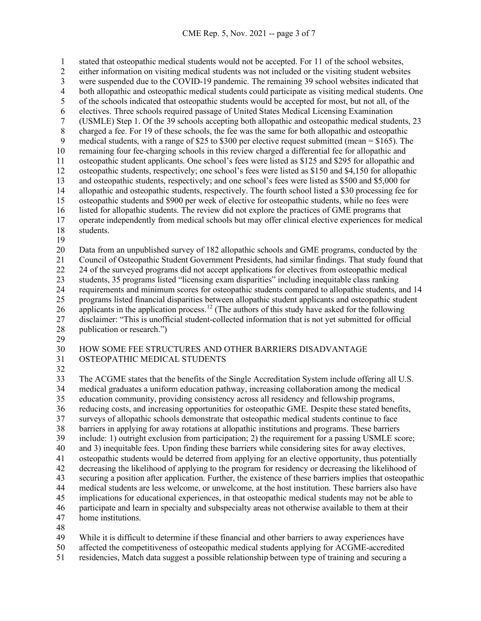1 stated that osteopathic medical students would not be accepted. For 11 of the school websites,<br>2 either information on visiting medical students was not included or the visiting student website either information on visiting medical students was not included or the visiting student websites 3 were suspended due to the COVID-19 pandemic. The remaining 39 school websites indicated that<br>4 both allopathic and osteopathic medical students could participate as visiting medical students. One 4 both allopathic and osteopathic medical students could participate as visiting medical students. One<br>5 of the schools indicated that osteopathic students would be accepted for most, but not all, of the of the schools indicated that osteopathic students would be accepted for most, but not all, of the electives. Three schools required passage of United States Medical Licensing Examination (USMLE) Step 1. Of the 39 schools accepting both allopathic and osteopathic medical students, 23 8 charged a fee. For 19 of these schools, the fee was the same for both allopathic and osteopathic medical students, with a range of \$25 to \$300 per elective request submitted (mean = \$165). The medical students, with a range of \$25 to \$300 per elective request submitted (mean =  $$165$ ). The remaining four fee-charging schools in this review charged a differential fee for allopathic and osteopathic student applicants. One school's fees were listed as \$125 and \$295 for allopathic and osteopathic students, respectively; one school's fees were listed as \$150 and \$4,150 for allopathic and osteopathic students, respectively; and one school's fees were listed as \$500 and \$5,000 for allopathic and osteopathic students, respectively. The fourth school listed a \$30 processing fee for osteopathic students and \$900 per week of elective for osteopathic students, while no fees were listed for allopathic students. The review did not explore the practices of GME programs that operate independently from medical schools but may offer clinical elective experiences for medical students.

Data from an unpublished survey of 182 allopathic schools and GME programs, conducted by the

Council of Osteopathic Student Government Presidents, had similar findings. That study found that

24 of the surveyed programs did not accept applications for electives from osteopathic medical

 students, 35 programs listed "licensing exam disparities" including inequitable class ranking requirements and minimum scores for osteopathic students compared to allopathic students, and 14

programs listed financial disparities between allopathic student applicants and osteopathic student

26 applicants in the application process.<sup>[12](#page-6-11)</sup> (The authors of this study have asked for the following

disclaimer: "This is unofficial student-collected information that is not yet submitted for official

publication or research.")

## HOW SOME FEE STRUCTURES AND OTHER BARRIERS DISADVANTAGE OSTEOPATHIC MEDICAL STUDENTS

 The ACGME states that the benefits of the Single Accreditation System include offering all U.S. medical graduates a uniform education pathway, increasing collaboration among the medical education community, providing consistency across all residency and fellowship programs, reducing costs, and increasing opportunities for osteopathic GME. Despite these stated benefits, surveys of allopathic schools demonstrate that osteopathic medical students continue to face 38 barriers in applying for away rotations at allopathic institutions and programs. These barriers<br>39 include: 1) outright exclusion from participation; 2) the requirement for a passing USMLE sco include: 1) outright exclusion from participation; 2) the requirement for a passing USMLE score; and 3) inequitable fees. Upon finding these barriers while considering sites for away electives, osteopathic students would be deterred from applying for an elective opportunity, thus potentially decreasing the likelihood of applying to the program for residency or decreasing the likelihood of securing a position after application. Further, the existence of these barriers implies that osteopathic medical students are less welcome, or unwelcome, at the host institution. These barriers also have implications for educational experiences, in that osteopathic medical students may not be able to participate and learn in specialty and subspecialty areas not otherwise available to them at their home institutions.

While it is difficult to determine if these financial and other barriers to away experiences have

affected the competitiveness of osteopathic medical students applying for ACGME-accredited

residencies, Match data suggest a possible relationship between type of training and securing a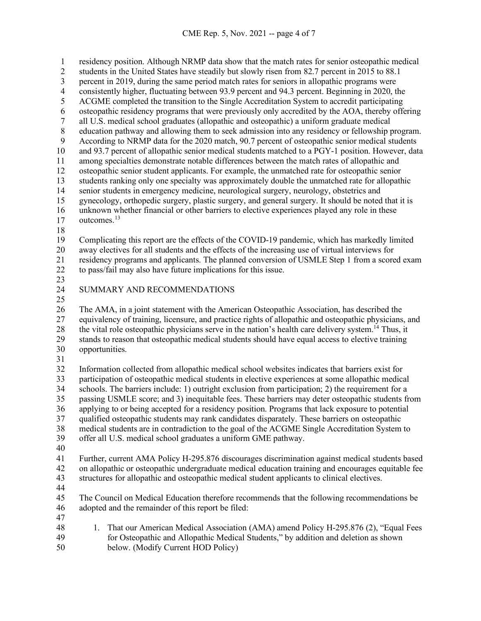1 residency position. Although NRMP data show that the match rates for senior osteopathic medical<br>2 students in the United States have steadily but slowly risen from 82.7 percent in 2015 to 88.1 students in the United States have steadily but slowly risen from 82.7 percent in 2015 to 88.1 3 percent in 2019, during the same period match rates for seniors in allopathic programs were<br>4 consistently higher, fluctuating between 93.9 percent and 94.3 percent. Beginning in 2020, the 4 consistently higher, fluctuating between 93.9 percent and 94.3 percent. Beginning in 2020, the<br>5 ACGME completed the transition to the Single Accreditation System to accredit participating ACGME completed the transition to the Single Accreditation System to accredit participating 6 osteopathic residency programs that were previously only accredited by the AOA, thereby offering<br>all U.S. medical school graduates (allopathic and osteopathic) a uniform graduate medical all U.S. medical school graduates (allopathic and osteopathic) a uniform graduate medical 8 education pathway and allowing them to seek admission into any residency or fellowship program.<br>9 According to NRMP data for the 2020 match. 90.7 percent of osteopathic senior medical students According to NRMP data for the 2020 match, 90.7 percent of osteopathic senior medical students and 93.7 percent of allopathic senior medical students matched to a PGY-1 position. However, data among specialties demonstrate notable differences between the match rates of allopathic and osteopathic senior student applicants. For example, the unmatched rate for osteopathic senior students ranking only one specialty was approximately double the unmatched rate for allopathic senior students in emergency medicine, neurological surgery, neurology, obstetrics and gynecology, orthopedic surgery, plastic surgery, and general surgery. It should be noted that it is unknown whether financial or other barriers to elective experiences played any role in these 17 outcomes.<sup>[13](#page-6-12)</sup> Complicating this report are the effects of the COVID-19 pandemic, which has markedly limited away electives for all students and the effects of the increasing use of virtual interviews for residency programs and applicants. The planned conversion of USMLE Step 1 from a scored exam to pass/fail may also have future implications for this issue. SUMMARY AND RECOMMENDATIONS The AMA, in a joint statement with the American Osteopathic Association, has described the equivalency of training, licensure, and practice rights of allopathic and osteopathic physicians, and 28 the vital role osteopathic physicians serve in the nation's health care delivery system.<sup>14</sup> Thus, it stands to reason that osteopathic medical students should have equal access to elective training opportunities. Information collected from allopathic medical school websites indicates that barriers exist for participation of osteopathic medical students in elective experiences at some allopathic medical schools. The barriers include: 1) outright exclusion from participation; 2) the requirement for a passing USMLE score; and 3) inequitable fees. These barriers may deter osteopathic students from applying to or being accepted for a residency position. Programs that lack exposure to potential qualified osteopathic students may rank candidates disparately. These barriers on osteopathic 38 medical students are in contradiction to the goal of the ACGME Single Accreditation System to<br>39 offer all U.S. medical school graduates a uniform GME pathway. offer all U.S. medical school graduates a uniform GME pathway. Further, current AMA Policy H-295.876 discourages discrimination against medical students based on allopathic or osteopathic undergraduate medical education training and encourages equitable fee structures for allopathic and osteopathic medical student applicants to clinical electives. The Council on Medical Education therefore recommends that the following recommendations be adopted and the remainder of this report be filed:

- 
- 48 1. That our American Medical Association (AMA) amend Policy H-295.876 (2), "Equal Fees for Osteopathic and Allopathic Medical Students," by addition and deletion as shown below. (Modify Current HOD Policy)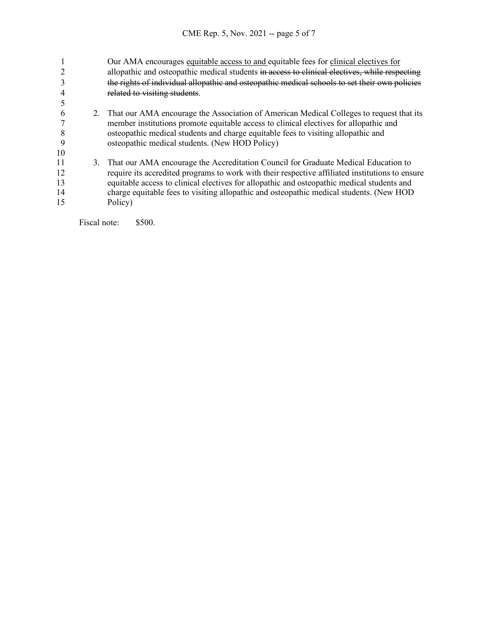|    |    | Our AMA encourages equitable access to and equitable fees for clinical electives for            |
|----|----|-------------------------------------------------------------------------------------------------|
|    |    | allopathic and osteopathic medical students in access to clinical electives, while respecting   |
|    |    | the rights of individual allopathic and osteopathic medical schools to set their own policies   |
|    |    | related to visiting students                                                                    |
|    |    |                                                                                                 |
|    | 2. | That our AMA encourage the Association of American Medical Colleges to request that its         |
|    |    | member institutions promote equitable access to clinical electives for allopathic and           |
|    |    | osteopathic medical students and charge equitable fees to visiting allopathic and               |
|    |    | osteopathic medical students. (New HOD Policy)                                                  |
| 10 |    |                                                                                                 |
| 11 | 3. | That our AMA encourage the Accreditation Council for Graduate Medical Education to              |
| 12 |    | require its accredited programs to work with their respective affiliated institutions to ensure |
| 13 |    | equitable access to clinical electives for allopathic and osteopathic medical students and      |
| 14 |    | charge equitable fees to visiting allopathic and osteopathic medical students. (New HOD         |
| 15 |    | Policy)                                                                                         |
|    |    |                                                                                                 |

Fiscal note: \$500.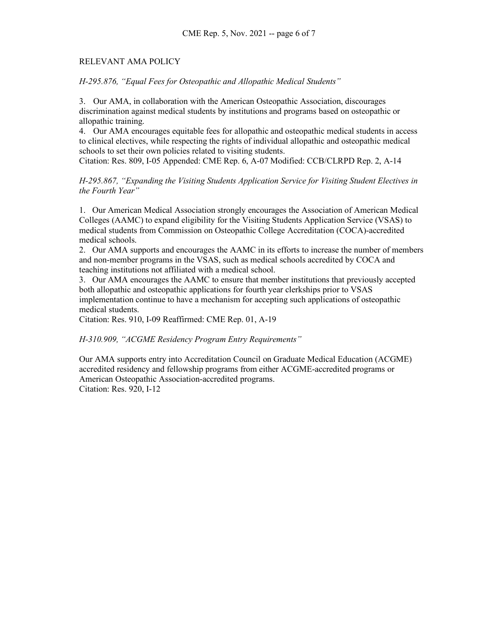## RELEVANT AMA POLICY

*H-295.876, "Equal Fees for Osteopathic and Allopathic Medical Students"* 

3. Our AMA, in collaboration with the American Osteopathic Association, discourages discrimination against medical students by institutions and programs based on osteopathic or allopathic training.

4. Our AMA encourages equitable fees for allopathic and osteopathic medical students in access to clinical electives, while respecting the rights of individual allopathic and osteopathic medical schools to set their own policies related to visiting students.

Citation: Res. 809, I-05 Appended: CME Rep. 6, A-07 Modified: CCB/CLRPD Rep. 2, A-14

*H-295.867, "Expanding the Visiting Students Application Service for Visiting Student Electives in the Fourth Year"* 

1. Our American Medical Association strongly encourages the Association of American Medical Colleges (AAMC) to expand eligibility for the Visiting Students Application Service (VSAS) to medical students from Commission on Osteopathic College Accreditation (COCA)-accredited medical schools.

2. Our AMA supports and encourages the AAMC in its efforts to increase the number of members and non-member programs in the VSAS, such as medical schools accredited by COCA and teaching institutions not affiliated with a medical school.

3. Our AMA encourages the AAMC to ensure that member institutions that previously accepted both allopathic and osteopathic applications for fourth year clerkships prior to VSAS implementation continue to have a mechanism for accepting such applications of osteopathic medical students.

Citation: Res. 910, I-09 Reaffirmed: CME Rep. 01, A-19

*H-310.909, "ACGME Residency Program Entry Requirements"*

Our AMA supports entry into Accreditation Council on Graduate Medical Education (ACGME) accredited residency and fellowship programs from either ACGME-accredited programs or American Osteopathic Association-accredited programs. Citation: Res. 920, I-12